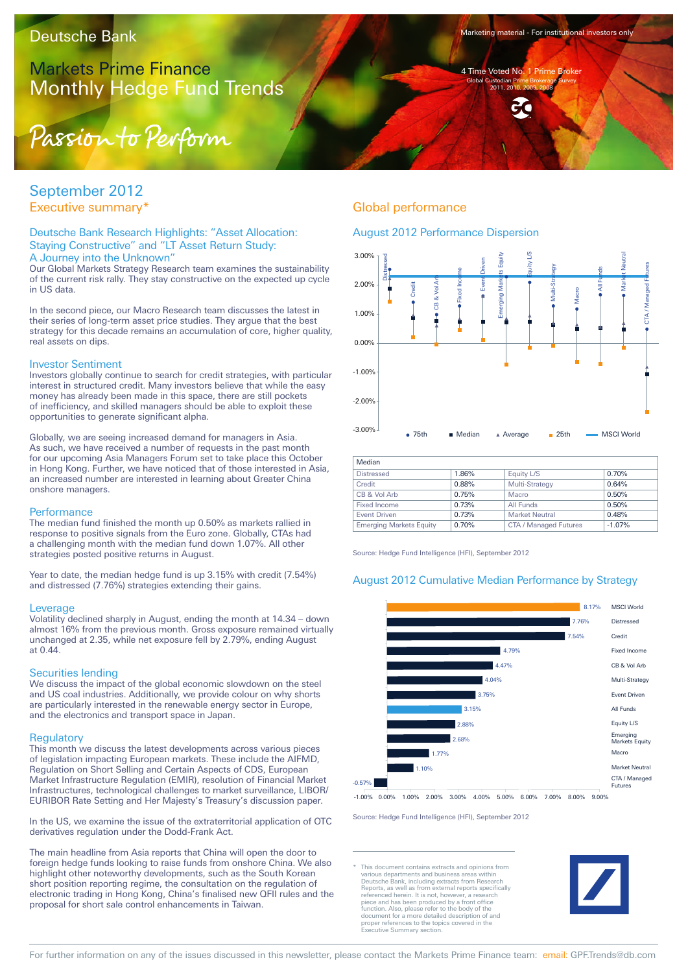# Deutsche Bank

# Markets Prime Finance Monthly Hedge Fund Trends

Passion to Perform

# September 2012 Executive summary\*

## Deutsche Bank Research Highlights: "Asset Allocation: Staying Constructive" and "LT Asset Return Study: A Journey into the Unknown"

Our Global Markets Strategy Research team examines the sustainability of the current risk rally. They stay constructive on the expected up cycle in US data.

In the second piece, our Macro Research team discusses the latest in their series of long-term asset price studies. They argue that the best strategy for this decade remains an accumulation of core, higher quality, real assets on dips.

#### Investor Sentiment

Investors globally continue to search for credit strategies, with particular interest in structured credit. Many investors believe that while the easy money has already been made in this space, there are still pockets of inefficiency, and skilled managers should be able to exploit these opportunities to generate significant alpha.

Globally, we are seeing increased demand for managers in Asia. As such, we have received a number of requests in the past month for our upcoming Asia Managers Forum set to take place this October in Hong Kong. Further, we have noticed that of those interested in Asia, an increased number are interested in learning about Greater China onshore managers.

#### **Performance**

The median fund finished the month up 0.50% as markets rallied in response to positive signals from the Euro zone. Globally, CTAs had a challenging month with the median fund down 1.07%. All other strategies posted positive returns in August.

Year to date, the median hedge fund is up 3.15% with credit (7.54%) and distressed (7.76%) strategies extending their gains.

#### Leverage

Volatility declined sharply in August, ending the month at 14.34 – down almost 16% from the previous month. Gross exposure remained virtually unchanged at 2.35, while net exposure fell by 2.79%, ending August at 0.44.

#### Securities lending

We discuss the impact of the global economic slowdown on the steel and US coal industries. Additionally, we provide colour on why shorts are particularly interested in the renewable energy sector in Europe, and the electronics and transport space in Japan.

#### **Regulatory**

This month we discuss the latest developments across various pieces of legislation impacting European markets. These include the AIFMD, Regulation on Short Selling and Certain Aspects of CDS, European Market Infrastructure Regulation (EMIR), resolution of Financial Market Infrastructures, technological challenges to market surveillance, LIBOR/ EURIBOR Rate Setting and Her Majesty's Treasury's discussion paper.

In the US, we examine the issue of the extraterritorial application of OTC derivatives regulation under the Dodd-Frank Act.

The main headline from Asia reports that China will open the door to foreign hedge funds looking to raise funds from onshore China. We also highlight other noteworthy developments, such as the South Korean short position reporting regime, the consultation on the regulation of electronic trading in Hong Kong, China's finalised new QFII rules and the proposal for short sale control enhancements in Taiwan.

# Global performance

# August 2012 Performance Dispersion



4 Time Voted No. 1 Prime Global Custodian Prime Brokerage Survey 2011, 2010, 2009, 2008

Marketing material - For institutional investors only

| Median                         |       |                       |          |  |
|--------------------------------|-------|-----------------------|----------|--|
| <b>Distressed</b>              | 1.86% | Equity L/S            | 0.70%    |  |
| Credit                         | 0.88% | Multi-Strategy        | 0.64%    |  |
| CB & Vol Arb                   | 0.75% | Macro                 | 0.50%    |  |
| Fixed Income                   | 0.73% | All Funds             | 0.50%    |  |
| <b>Event Driven</b>            | 0.73% | <b>Market Neutral</b> | 0.48%    |  |
| <b>Emerging Markets Equity</b> | 0.70% | CTA / Managed Futures | $-1.07%$ |  |

Source: Hedge Fund Intelligence (HFI), September 2012

## August 2012 Cumulative Median Performance by Strategy



Source: Hedge Fund Intelligence (HFI), September 2012

\* This document contains extracts and opinions from<br>various departments and business areas within<br>Deutsche Bank, including extracts from Research<br>Reports, as well as from external reports specifically<br>referenced herein. It Executive Summary section.



For further information on any of the issues discussed in this newsletter, please contact the Markets Prime Finance team: email: GPF.Trends@db.com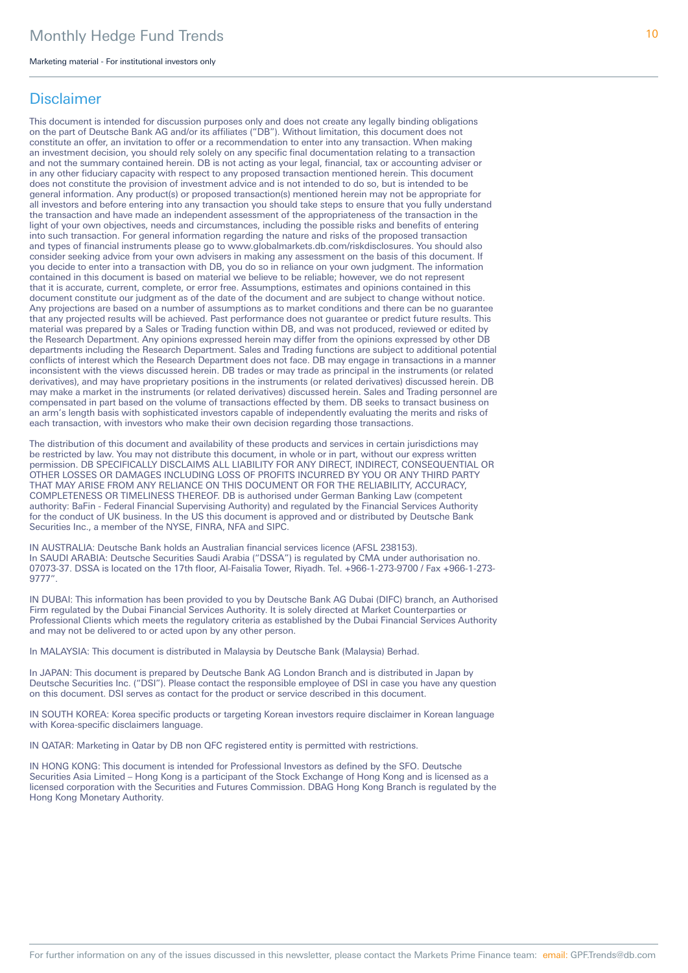# **Disclaimer**

This document is intended for discussion purposes only and does not create any legally binding obligations on the part of Deutsche Bank AG and/or its affiliates ("DB"). Without limitation, this document does not constitute an offer, an invitation to offer or a recommendation to enter into any transaction. When making an investment decision, you should rely solely on any specific final documentation relating to a transaction and not the summary contained herein. DB is not acting as your legal, financial, tax or accounting adviser or in any other fiduciary capacity with respect to any proposed transaction mentioned herein. This document does not constitute the provision of investment advice and is not intended to do so, but is intended to be general information. Any product(s) or proposed transaction(s) mentioned herein may not be appropriate for all investors and before entering into any transaction you should take steps to ensure that you fully understand the transaction and have made an independent assessment of the appropriateness of the transaction in the light of your own objectives, needs and circumstances, including the possible risks and benefits of entering into such transaction. For general information regarding the nature and risks of the proposed transaction and types of financial instruments please go to www.globalmarkets.db.com/riskdisclosures. You should also consider seeking advice from your own advisers in making any assessment on the basis of this document. If you decide to enter into a transaction with DB, you do so in reliance on your own judgment. The information contained in this document is based on material we believe to be reliable; however, we do not represent that it is accurate, current, complete, or error free. Assumptions, estimates and opinions contained in this document constitute our judgment as of the date of the document and are subject to change without notice. Any projections are based on a number of assumptions as to market conditions and there can be no guarantee that any projected results will be achieved. Past performance does not guarantee or predict future results. This material was prepared by a Sales or Trading function within DB, and was not produced, reviewed or edited by the Research Department. Any opinions expressed herein may differ from the opinions expressed by other DB departments including the Research Department. Sales and Trading functions are subject to additional potential conflicts of interest which the Research Department does not face. DB may engage in transactions in a manner inconsistent with the views discussed herein. DB trades or may trade as principal in the instruments (or related derivatives), and may have proprietary positions in the instruments (or related derivatives) discussed herein. DB may make a market in the instruments (or related derivatives) discussed herein. Sales and Trading personnel are compensated in part based on the volume of transactions effected by them. DB seeks to transact business on an arm's length basis with sophisticated investors capable of independently evaluating the merits and risks of each transaction, with investors who make their own decision regarding those transactions.

The distribution of this document and availability of these products and services in certain jurisdictions may be restricted by law. You may not distribute this document, in whole or in part, without our express written permission. DB SPECIFICALLY DISCLAIMS ALL LIABILITY FOR ANY DIRECT, INDIRECT, CONSEQUENTIAL OR OTHER LOSSES OR DAMAGES INCLUDING LOSS OF PROFITS INCURRED BY YOU OR ANY THIRD PARTY THAT MAY ARISE FROM ANY RELIANCE ON THIS DOCUMENT OR FOR THE RELIABILITY, ACCURACY, COMPLETENESS OR TIMELINESS THEREOF. DB is authorised under German Banking Law (competent authority: BaFin - Federal Financial Supervising Authority) and regulated by the Financial Services Authority for the conduct of UK business. In the US this document is approved and or distributed by Deutsche Bank Securities Inc., a member of the NYSE, FINRA, NFA and SIPC.

IN AUSTRALIA: Deutsche Bank holds an Australian financial services licence (AFSL 238153). In SAUDI ARABIA: Deutsche Securities Saudi Arabia ("DSSA") is regulated by CMA under authorisation no. 07073-37. DSSA is located on the 17th floor, Al-Faisalia Tower, Riyadh. Tel. +966-1-273-9700 / Fax +966-1-273- 9777".

IN DUBAI: This information has been provided to you by Deutsche Bank AG Dubai (DIFC) branch, an Authorised Firm regulated by the Dubai Financial Services Authority. It is solely directed at Market Counterparties or Professional Clients which meets the regulatory criteria as established by the Dubai Financial Services Authority and may not be delivered to or acted upon by any other person.

In MALAYSIA: This document is distributed in Malaysia by Deutsche Bank (Malaysia) Berhad.

In JAPAN: This document is prepared by Deutsche Bank AG London Branch and is distributed in Japan by Deutsche Securities Inc. ("DSI"). Please contact the responsible employee of DSI in case you have any question on this document. DSI serves as contact for the product or service described in this document.

IN SOUTH KOREA: Korea specific products or targeting Korean investors require disclaimer in Korean language with Korea-specific disclaimers language.

IN QATAR: Marketing in Qatar by DB non QFC registered entity is permitted with restrictions.

IN HONG KONG: This document is intended for Professional Investors as defined by the SFO. Deutsche Securities Asia Limited – Hong Kong is a participant of the Stock Exchange of Hong Kong and is licensed as a licensed corporation with the Securities and Futures Commission. DBAG Hong Kong Branch is regulated by the Hong Kong Monetary Authority.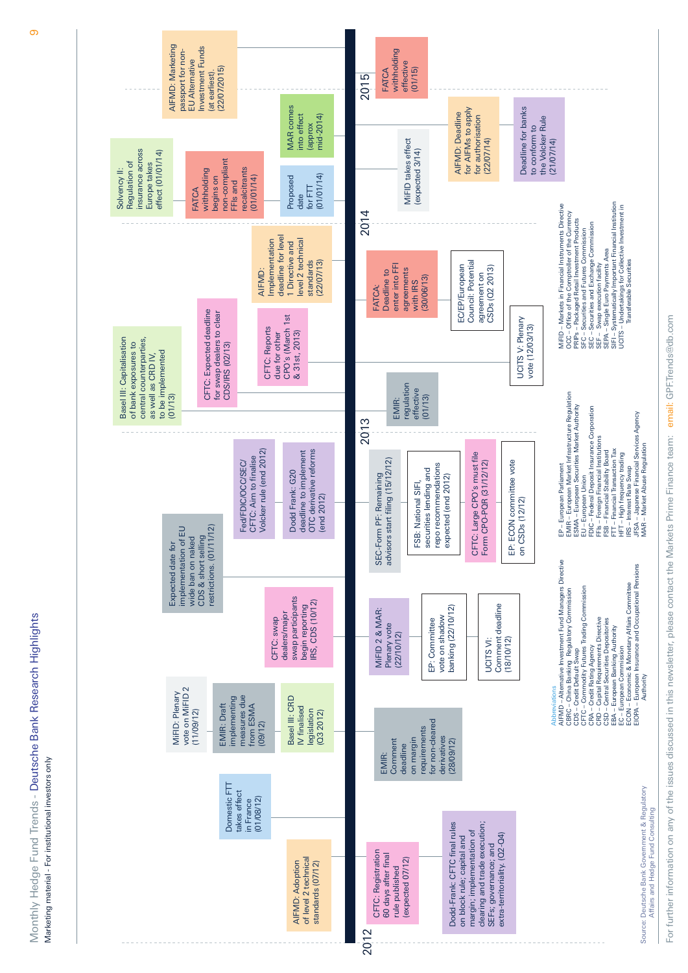

Monthly Hedge Fund Trends - Deutsche Bank Research Highlights Monthly Hedge Fund Trends - Deutsche Bank Research Highlights Marketing material - For institutional investors only Marketing material - For institutional investors only For further information on any of the issues discussed in this newsletter, please contact the Markets Prime Finance team: email: GPF.Trends@db.com For further information on any of the issues discussed in this newsletter, please contact the Markets Prime Finance team: email: GPF.Trends@db.com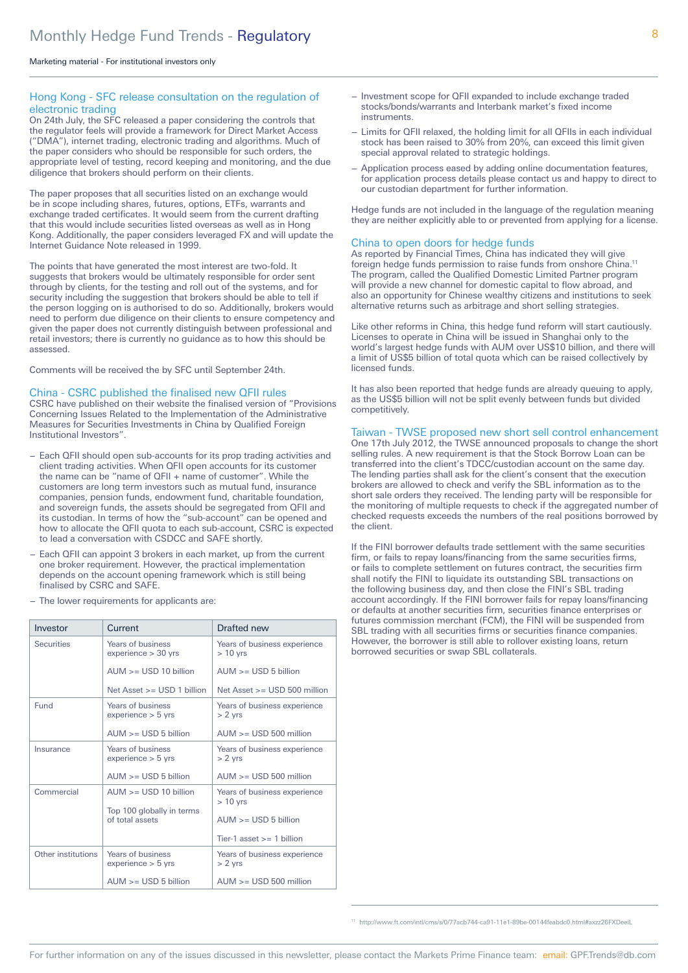#### Hong Kong - SFC release consultation on the regulation of electronic trading

On 24th July, the SFC released a paper considering the controls that the regulator feels will provide a framework for Direct Market Access ("DMA"), internet trading, electronic trading and algorithms. Much of the paper considers who should be responsible for such orders, the appropriate level of testing, record keeping and monitoring, and the due diligence that brokers should perform on their clients.

The paper proposes that all securities listed on an exchange would be in scope including shares, futures, options, ETFs, warrants and exchange traded certificates. It would seem from the current drafting that this would include securities listed overseas as well as in Hong Kong. Additionally, the paper considers leveraged FX and will update the Internet Guidance Note released in 1999.

The points that have generated the most interest are two-fold. It suggests that brokers would be ultimately responsible for order sent through by clients, for the testing and roll out of the systems, and for security including the suggestion that brokers should be able to tell if the person logging on is authorised to do so. Additionally, brokers would need to perform due diligence on their clients to ensure competency and given the paper does not currently distinguish between professional and retail investors; there is currently no guidance as to how this should be assessed.

Comments will be received the by SFC until September 24th.

#### China - CSRC published the finalised new QFII rules

CSRC have published on their website the finalised version of "Provisions Concerning Issues Related to the Implementation of the Administrative Measures for Securities Investments in China by Qualified Foreign Institutional Investors".

- − Each QFII should open sub-accounts for its prop trading activities and client trading activities. When QFII open accounts for its customer the name can be "name of QFII + name of customer". While the customers are long term investors such as mutual fund, insurance companies, pension funds, endowment fund, charitable foundation, and sovereign funds, the assets should be segregated from QFII and its custodian. In terms of how the "sub-account" can be opened and how to allocate the QFII quota to each sub-account, CSRC is expected to lead a conversation with CSDCC and SAFE shortly.
- − Each QFII can appoint 3 brokers in each market, up from the current one broker requirement. However, the practical implementation depends on the account opening framework which is still being finalised by CSRC and SAFE.
- − The lower requirements for applicants are:

| Investor           | Current                                      | Drafted new                                |
|--------------------|----------------------------------------------|--------------------------------------------|
| <b>Securities</b>  | Years of business<br>experience > 30 yrs     | Years of business experience<br>$> 10$ yrs |
|                    | $AIJM \geq 1JSD 10 billion$                  | $AUM \geq USD 5$ billion                   |
|                    | Net Asset $>=$ USD 1 billion                 | Net Asset $>=$ USD 500 million             |
| Fund               | Years of business<br>$experience > 5$ yrs    | Years of business experience<br>$> 2$ yrs  |
|                    | $AUM \geq USD 5$ billion                     | $AUM \geq USD 500$ million                 |
| Insurance          | Years of business<br>experience $>$ 5 yrs    | Years of business experience<br>$> 2$ yrs  |
|                    | $AUM \geq USD 5 billion$                     | $AUM \geq USD 500$ million                 |
| Commercial         | $AlJM \geq ClSD 10$ billion                  | Years of business experience<br>$> 10$ yrs |
|                    | Top 100 globally in terms<br>of total assets | $AUM \geq USD 5$ billion                   |
|                    |                                              | Tier-1 asset $>=$ 1 billion                |
| Other institutions | Years of business<br>experience $>$ 5 yrs    | Years of business experience<br>$> 2$ yrs  |
|                    | $AUM \geq USD 5$ billion                     | $AUM \geq 150$ 500 million                 |

- − Investment scope for QFII expanded to include exchange traded stocks/bonds/warrants and Interbank market's fixed income instruments.
- − Limits for QFII relaxed, the holding limit for all QFIIs in each individual stock has been raised to 30% from 20%, can exceed this limit given special approval related to strategic holdings.
- − Application process eased by adding online documentation features, for application process details please contact us and happy to direct to our custodian department for further information.

Hedge funds are not included in the language of the regulation meaning they are neither explicitly able to or prevented from applying for a license.

### China to open doors for hedge funds

As reported by Financial Times, China has indicated they will give foreign hedge funds permission to raise funds from onshore China.11 The program, called the Qualified Domestic Limited Partner program will provide a new channel for domestic capital to flow abroad, and also an opportunity for Chinese wealthy citizens and institutions to seek alternative returns such as arbitrage and short selling strategies.

Like other reforms in China, this hedge fund reform will start cautiously. Licenses to operate in China will be issued in Shanghai only to the world's largest hedge funds with AUM over US\$10 billion, and there will a limit of US\$5 billion of total quota which can be raised collectively by licensed funds.

It has also been reported that hedge funds are already queuing to apply, as the US\$5 billion will not be split evenly between funds but divided competitively.

# Taiwan - TWSE proposed new short sell control enhancement

One 17th July 2012, the TWSE announced proposals to change the short selling rules. A new requirement is that the Stock Borrow Loan can be transferred into the client's TDCC/custodian account on the same day. The lending parties shall ask for the client's consent that the execution brokers are allowed to check and verify the SBL information as to the short sale orders they received. The lending party will be responsible for the monitoring of multiple requests to check if the aggregated number of checked requests exceeds the numbers of the real positions borrowed by the client.

If the FINI borrower defaults trade settlement with the same securities firm, or fails to repay loans/financing from the same securities firms, or fails to complete settlement on futures contract, the securities firm shall notify the FINI to liquidate its outstanding SBL transactions on the following business day, and then close the FINI's SBL trading account accordingly. If the FINI borrower fails for repay loans/financing or defaults at another securities firm, securities finance enterprises or futures commission merchant (FCM), the FINI will be suspended from SBL trading with all securities firms or securities finance companies. However, the borrower is still able to rollover existing loans, return borrowed securities or swap SBL collaterals.

11 http://www.ft.com/intl/cms/s/0/77acb744-ca91-11e1-89be-00144feabdc0.html#axzz26FXDeeiL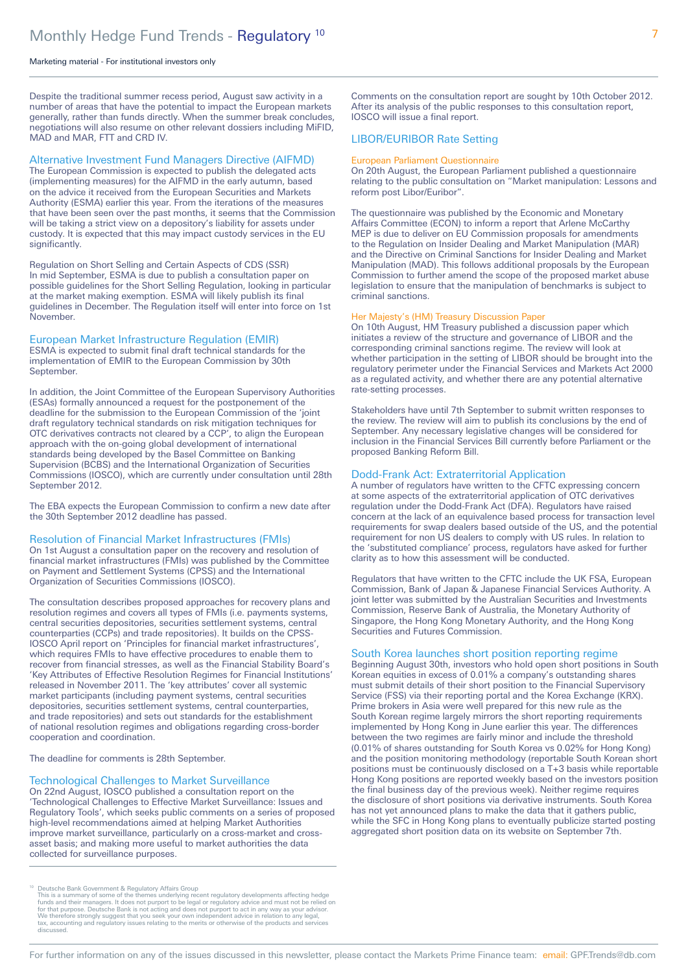Despite the traditional summer recess period, August saw activity in a number of areas that have the potential to impact the European markets generally, rather than funds directly. When the summer break concludes, negotiations will also resume on other relevant dossiers including MiFID, MAD and MAR, FTT and CRD IV.

### Alternative Investment Fund Managers Directive (AIFMD)

The European Commission is expected to publish the delegated acts (implementing measures) for the AIFMD in the early autumn, based on the advice it received from the European Securities and Markets Authority (ESMA) earlier this year. From the iterations of the measures that have been seen over the past months, it seems that the Commission will be taking a strict view on a depository's liability for assets under custody. It is expected that this may impact custody services in the EU significantly.

Regulation on Short Selling and Certain Aspects of CDS (SSR) In mid September, ESMA is due to publish a consultation paper on possible guidelines for the Short Selling Regulation, looking in particular at the market making exemption. ESMA will likely publish its final guidelines in December. The Regulation itself will enter into force on 1st November.

# European Market Infrastructure Regulation (EMIR)

ESMA is expected to submit final draft technical standards for the implementation of EMIR to the European Commission by 30th September.

In addition, the Joint Committee of the European Supervisory Authorities (ESAs) formally announced a request for the postponement of the deadline for the submission to the European Commission of the 'joint draft regulatory technical standards on risk mitigation techniques for OTC derivatives contracts not cleared by a CCP', to align the European approach with the on-going global development of international standards being developed by the Basel Committee on Banking Supervision (BCBS) and the International Organization of Securities Commissions (IOSCO), which are currently under consultation until 28th September 2012.

The EBA expects the European Commission to confirm a new date after the 30th September 2012 deadline has passed.

#### Resolution of Financial Market Infrastructures (FMIs)

On 1st August a consultation paper on the recovery and resolution of financial market infrastructures (FMIs) was published by the Committee on Payment and Settlement Systems (CPSS) and the International Organization of Securities Commissions (IOSCO).

The consultation describes proposed approaches for recovery plans and resolution regimes and covers all types of FMIs (i.e. payments systems, central securities depositories, securities settlement systems, central counterparties (CCPs) and trade repositories). It builds on the CPSS-IOSCO April report on 'Principles for financial market infrastructures', which requires FMIs to have effective procedures to enable them to recover from financial stresses, as well as the Financial Stability Board's 'Key Attributes of Effective Resolution Regimes for Financial Institutions' released in November 2011. The 'key attributes' cover all systemic market participants (including payment systems, central securities depositories, securities settlement systems, central counterparties, and trade repositories) and sets out standards for the establishment of national resolution regimes and obligations regarding cross-border cooperation and coordination.

The deadline for comments is 28th September.

#### Technological Challenges to Market Surveillance

On 22nd August, IOSCO published a consultation report on the 'Technological Challenges to Effective Market Surveillance: Issues and Regulatory Tools', which seeks public comments on a series of proposed high-level recommendations aimed at helping Market Authorities improve market surveillance, particularly on a cross-market and crossasset basis; and making more useful to market authorities the data collected for surveillance purposes.

Comments on the consultation report are sought by 10th October 2012. After its analysis of the public responses to this consultation report, IOSCO will issue a final report.

#### LIBOR/EURIBOR Rate Setting

#### European Parliament Questionnaire

On 20th August, the European Parliament published a questionnaire relating to the public consultation on "Market manipulation: Lessons and reform post Libor/Euribor".

The questionnaire was published by the Economic and Monetary Affairs Committee (ECON) to inform a report that Arlene McCarthy MEP is due to deliver on EU Commission proposals for amendments to the Regulation on Insider Dealing and Market Manipulation (MAR) and the Directive on Criminal Sanctions for Insider Dealing and Market Manipulation (MAD). This follows additional proposals by the European Commission to further amend the scope of the proposed market abuse legislation to ensure that the manipulation of benchmarks is subject to criminal sanctions.

#### Her Majesty's (HM) Treasury Discussion Paper

On 10th August, HM Treasury published a discussion paper which initiates a review of the structure and governance of LIBOR and the corresponding criminal sanctions regime. The review will look at whether participation in the setting of LIBOR should be brought into the regulatory perimeter under the Financial Services and Markets Act 2000 as a regulated activity, and whether there are any potential alternative rate-setting processes.

Stakeholders have until 7th September to submit written responses to the review. The review will aim to publish its conclusions by the end of September. Any necessary legislative changes will be considered for inclusion in the Financial Services Bill currently before Parliament or the proposed Banking Reform Bill.

### Dodd-Frank Act: Extraterritorial Application

A number of regulators have written to the CFTC expressing concern at some aspects of the extraterritorial application of OTC derivatives regulation under the Dodd-Frank Act (DFA). Regulators have raised concern at the lack of an equivalence based process for transaction level requirements for swap dealers based outside of the US, and the potential requirement for non US dealers to comply with US rules. In relation to the 'substituted compliance' process, regulators have asked for further clarity as to how this assessment will be conducted.

Regulators that have written to the CFTC include the UK FSA, European Commission, Bank of Japan & Japanese Financial Services Authority. A joint letter was submitted by the Australian Securities and Investments Commission, Reserve Bank of Australia, the Monetary Authority of Singapore, the Hong Kong Monetary Authority, and the Hong Kong Securities and Futures Commission.

#### South Korea launches short position reporting regime

Beginning August 30th, investors who hold open short positions in South Korean equities in excess of 0.01% a company's outstanding shares must submit details of their short position to the Financial Supervisory Service (FSS) via their reporting portal and the Korea Exchange (KRX). Prime brokers in Asia were well prepared for this new rule as the South Korean regime largely mirrors the short reporting requirements implemented by Hong Kong in June earlier this year. The differences between the two regimes are fairly minor and include the threshold (0.01% of shares outstanding for South Korea vs 0.02% for Hong Kong) and the position monitoring methodology (reportable South Korean short positions must be continuously disclosed on a T+3 basis while reportable Hong Kong positions are reported weekly based on the investors position the final business day of the previous week). Neither regime requires the disclosure of short positions via derivative instruments. South Korea has not yet announced plans to make the data that it gathers public, while the SFC in Hong Kong plans to eventually publicize started posting aggregated short position data on its website on September 7th.

<sup>&</sup>lt;sup>10</sup> Deutsche Bank Government & Regulatory Affairs Group<br>This is a summary of some of the themes underlying recent regulatory developments affecting hedge<br>This is a summary of some of the themes underlying recent regulator discussed.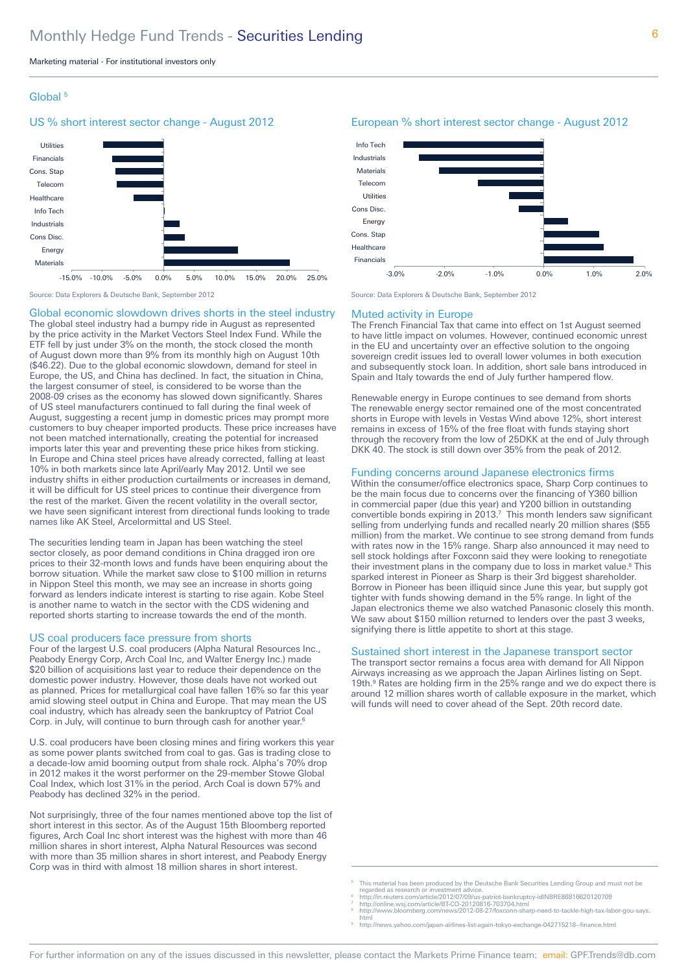#### Global<sup>5</sup>

### US % short interest sector change - August 2012



Source: Data Explorers & Deutsche Bank, September 2012 Source: Data Explorers & Deutsche Bank, September 2012

Global economic slowdown drives shorts in the steel industry The global steel industry had a bumpy ride in August as represented by the price activity in the Market Vectors Steel Index Fund. While the ETF fell by just under 3% on the month, the stock closed the month of August down more than 9% from its monthly high on August 10th (\$46.22). Due to the global economic slowdown, demand for steel in Europe, the US, and China has declined. In fact, the situation in China, the largest consumer of steel, is considered to be worse than the 2008-09 crises as the economy has slowed down significantly. Shares of US steel manufacturers continued to fall during the final week of August, suggesting a recent jump in domestic prices may prompt more customers to buy cheaper imported products. These price increases have not been matched internationally, creating the potential for increased imports later this year and preventing these price hikes from sticking. In Europe and China steel prices have already corrected, falling at least 10% in both markets since late April/early May 2012. Until we see industry shifts in either production curtailments or increases in demand, it will be difficult for US steel prices to continue their divergence from the rest of the market. Given the recent volatility in the overall sector, we have seen significant interest from directional funds looking to trade names like AK Steel, Arcelormittal and US Steel.

The securities lending team in Japan has been watching the steel sector closely, as poor demand conditions in China dragged iron ore prices to their 32-month lows and funds have been enquiring about the borrow situation. While the market saw close to \$100 million in returns in Nippon Steel this month, we may see an increase in shorts going forward as lenders indicate interest is starting to rise again. Kobe Steel is another name to watch in the sector with the CDS widening and reported shorts starting to increase towards the end of the month.

#### US coal producers face pressure from shorts

Four of the largest U.S. coal producers (Alpha Natural Resources Inc., Peabody Energy Corp, Arch Coal Inc, and Walter Energy Inc.) made \$20 billion of acquisitions last year to reduce their dependence on the domestic power industry. However, those deals have not worked out as planned. Prices for metallurgical coal have fallen 16% so far this year amid slowing steel output in China and Europe. That may mean the US coal industry, which has already seen the bankruptcy of Patriot Coal Corp. in July, will continue to burn through cash for another year.<sup>6</sup>

U.S. coal producers have been closing mines and firing workers this year as some power plants switched from coal to gas. Gas is trading close to a decade-low amid booming output from shale rock. Alpha's 70% drop in 2012 makes it the worst performer on the 29-member Stowe Global Coal Index, which lost 31% in the period. Arch Coal is down 57% and Peabody has declined 32% in the period.

Not surprisingly, three of the four names mentioned above top the list of short interest in this sector. As of the August 15th Bloomberg reported figures, Arch Coal Inc short interest was the highest with more than 46 million shares in short interest, Alpha Natural Resources was second with more than 35 million shares in short interest, and Peabody Energy Corp was in third with almost 18 million shares in short interest.



#### European % short interest sector change - August 2012



#### Muted activity in Europe

The French Financial Tax that came into effect on 1st August seemed to have little impact on volumes. However, continued economic unrest in the EU and uncertainty over an effective solution to the ongoing sovereign credit issues led to overall lower volumes in both execution and subsequently stock loan. In addition, short sale bans introduced in Spain and Italy towards the end of July further hampered flow.

Renewable energy in Europe continues to see demand from shorts The renewable energy sector remained one of the most concentrated shorts in Europe with levels in Vestas Wind above 12%, short interest remains in excess of 15% of the free float with funds staying short through the recovery from the low of 25DKK at the end of July through DKK 40. The stock is still down over 35% from the peak of 2012.

#### Funding concerns around Japanese electronics firms

Within the consumer/office electronics space, Sharp Corp continues to be the main focus due to concerns over the financing of Y360 billion in commercial paper (due this year) and Y200 billion in outstanding convertible bonds expiring in 2013. 7 This month lenders saw significant selling from underlying funds and recalled nearly 20 million shares (\$55 million) from the market. We continue to see strong demand from funds with rates now in the 15% range. Sharp also announced it may need to sell stock holdings after Foxconn said they were looking to renegotiate their investment plans in the company due to loss in market value.<sup>8</sup> This sparked interest in Pioneer as Sharp is their 3rd biggest shareholder. Borrow in Pioneer has been illiquid since June this year, but supply got tighter with funds showing demand in the 5% range. In light of the Japan electronics theme we also watched Panasonic closely this month. We saw about \$150 million returned to lenders over the past 3 weeks, signifying there is little appetite to short at this stage.

#### Sustained short interest in the Japanese transport sector

The transport sector remains a focus area with demand for All Nippon Airways increasing as we approach the Japan Airlines listing on Sept. 19th.<sup>9</sup> Rates are holding firm in the 25% range and we do expect there is around 12 million shares worth of callable exposure in the market, which will funds will need to cover ahead of the Sept. 20th record date.

This material has been produced by the Deutsche Bank Securities Lending Group and must not be<br>regarded as research or investment advice.<br>http://in.reuters.com/article/2012/07/09/us-patriot-bankruptcy-idlNBRE86816620120709<br>

http://news.yahoo.com/japan-airlines-list-again-tokyo-exchange-042715218--finance.html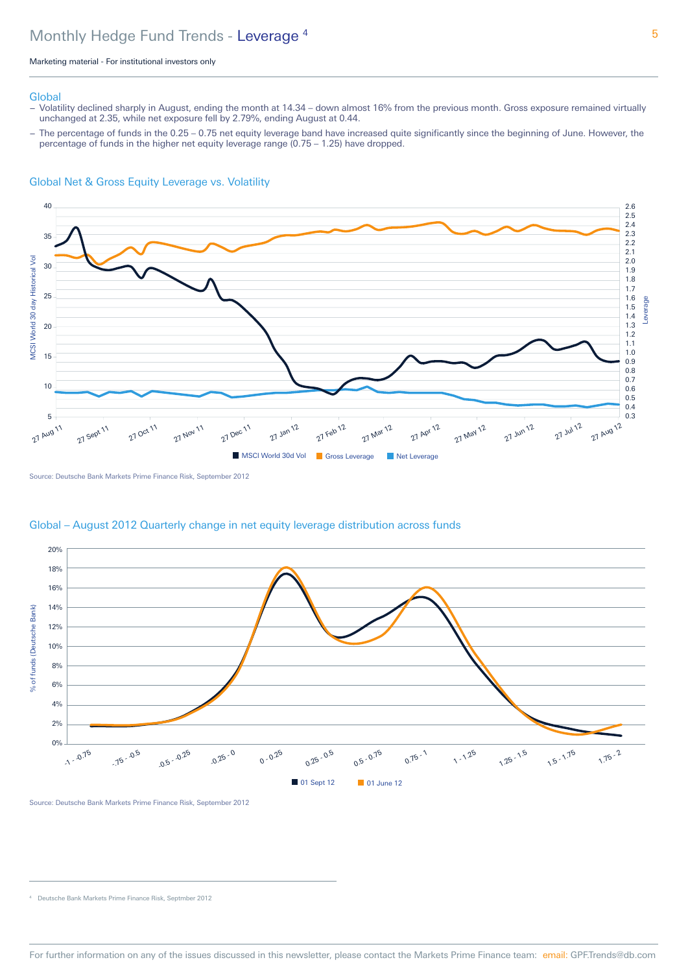#### Global

- − Volatility declined sharply in August, ending the month at 14.34 down almost 16% from the previous month. Gross exposure remained virtually unchanged at 2.35, while net exposure fell by 2.79%, ending August at 0.44.
- − The percentage of funds in the 0.25 0.75 net equity leverage band have increased quite significantly since the beginning of June. However, the percentage of funds in the higher net equity leverage range (0.75 – 1.25) have dropped.



# Global Net & Gross Equity Leverage vs. Volatility

Source: Deutsche Bank Markets Prime Finance Risk, September 2012



## Global – August 2012 Quarterly change in net equity leverage distribution across funds

Source: Deutsche Bank Markets Prime Finance Risk, September 2012

4 Deutsche Bank Markets Prime Finance Risk, Septmber 2012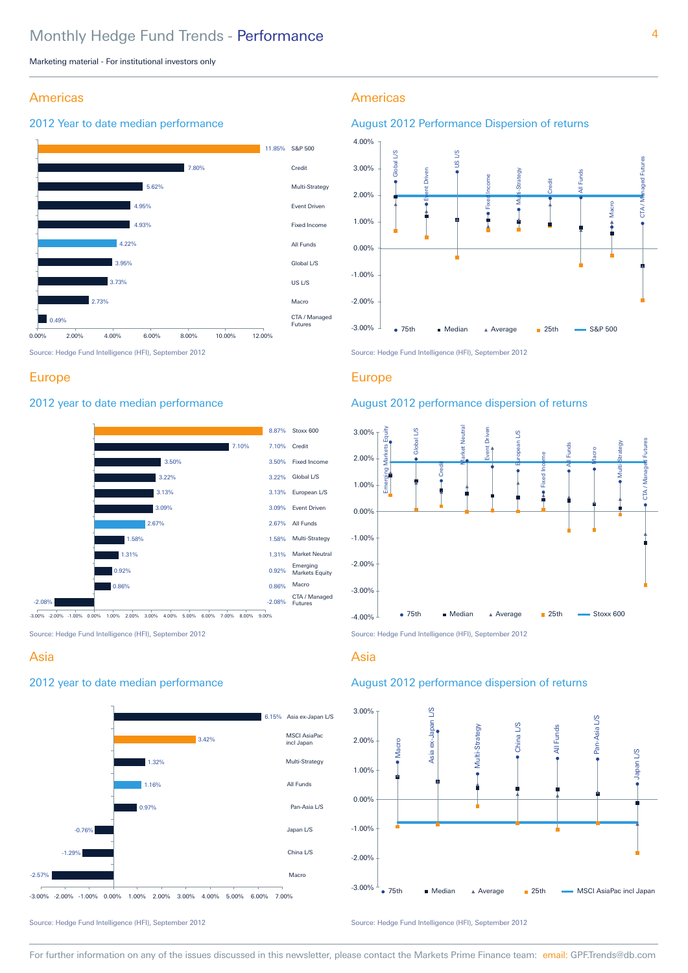# Americas

# 2012 Year to date median performance



Source: Hedge Fund Intelligence (HFI), September 2012

# Europe

# 2012 year to date median performance



Source: Hedge Fund Intelligence (HFI), September 2012

# Asia

# 2012 year to date median performance



# Americas

# August 2012 Performance Dispersion of returns



Source: Hedge Fund Intelligence (HFI), September 2012

# Europe

# August 2012 performance dispersion of returns



Source: Hedge Fund Intelligence (HFI), September 2012

## Asia



Source: Hedge Fund Intelligence (HFI), September 2012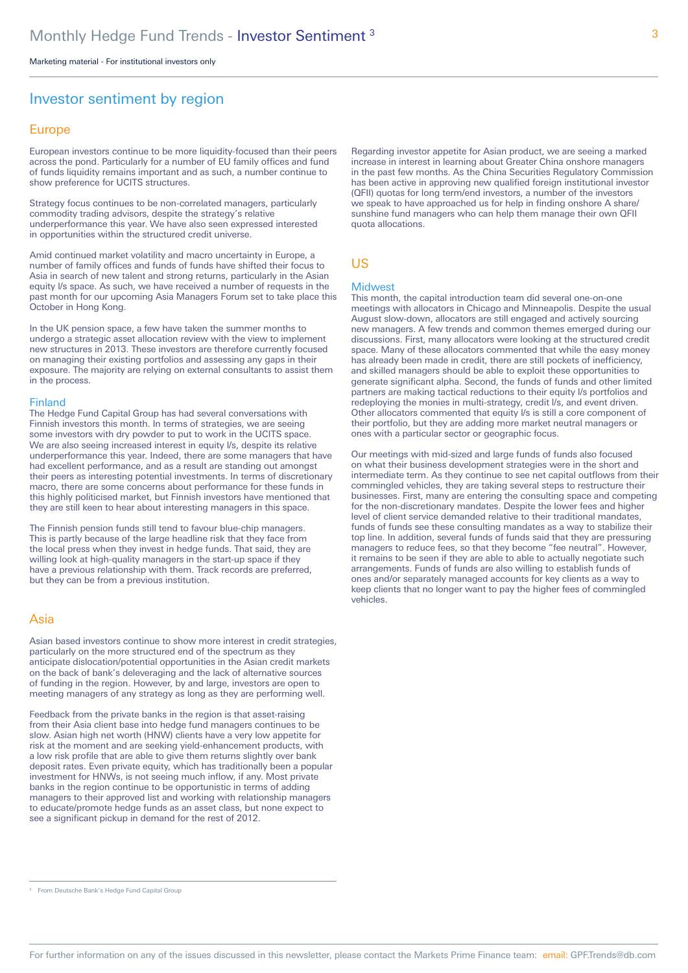# Investor sentiment by region

## Europe

European investors continue to be more liquidity-focused than their peers across the pond. Particularly for a number of EU family offices and fund of funds liquidity remains important and as such, a number continue to show preference for UCITS structures.

Strategy focus continues to be non-correlated managers, particularly commodity trading advisors, despite the strategy's relative underperformance this year. We have also seen expressed interested in opportunities within the structured credit universe.

Amid continued market volatility and macro uncertainty in Europe, a number of family offices and funds of funds have shifted their focus to Asia in search of new talent and strong returns, particularly in the Asian equity l/s space. As such, we have received a number of requests in the past month for our upcoming Asia Managers Forum set to take place this October in Hong Kong.

In the UK pension space, a few have taken the summer months to undergo a strategic asset allocation review with the view to implement new structures in 2013. These investors are therefore currently focused on managing their existing portfolios and assessing any gaps in their exposure. The majority are relying on external consultants to assist them in the process.

#### Finland

The Hedge Fund Capital Group has had several conversations with Finnish investors this month. In terms of strategies, we are seeing some investors with dry powder to put to work in the UCITS space. We are also seeing increased interest in equity l/s, despite its relative underperformance this year. Indeed, there are some managers that have had excellent performance, and as a result are standing out amongst their peers as interesting potential investments. In terms of discretionary macro, there are some concerns about performance for these funds in this highly politicised market, but Finnish investors have mentioned that they are still keen to hear about interesting managers in this space.

The Finnish pension funds still tend to favour blue-chip managers. This is partly because of the large headline risk that they face from the local press when they invest in hedge funds. That said, they are willing look at high-quality managers in the start-up space if they have a previous relationship with them. Track records are preferred, but they can be from a previous institution.

# Asia

Asian based investors continue to show more interest in credit strategies, particularly on the more structured end of the spectrum as they anticipate dislocation/potential opportunities in the Asian credit markets on the back of bank's deleveraging and the lack of alternative sources of funding in the region. However, by and large, investors are open to meeting managers of any strategy as long as they are performing well.

Feedback from the private banks in the region is that asset-raising from their Asia client base into hedge fund managers continues to be slow. Asian high net worth (HNW) clients have a very low appetite for risk at the moment and are seeking yield-enhancement products, with a low risk profile that are able to give them returns slightly over bank deposit rates. Even private equity, which has traditionally been a popular investment for HNWs, is not seeing much inflow, if any. Most private banks in the region continue to be opportunistic in terms of adding managers to their approved list and working with relationship managers to educate/promote hedge funds as an asset class, but none expect to see a significant pickup in demand for the rest of 2012.

#### US

#### **Midwest**

This month, the capital introduction team did several one-on-one meetings with allocators in Chicago and Minneapolis. Despite the usual August slow-down, allocators are still engaged and actively sourcing new managers. A few trends and common themes emerged during our discussions. First, many allocators were looking at the structured credit space. Many of these allocators commented that while the easy money has already been made in credit, there are still pockets of inefficiency, and skilled managers should be able to exploit these opportunities to generate significant alpha. Second, the funds of funds and other limited partners are making tactical reductions to their equity l/s portfolios and redeploying the monies in multi-strategy, credit l/s, and event driven. Other allocators commented that equity l/s is still a core component of their portfolio, but they are adding more market neutral managers or ones with a particular sector or geographic focus.

Our meetings with mid-sized and large funds of funds also focused on what their business development strategies were in the short and intermediate term. As they continue to see net capital outflows from their commingled vehicles, they are taking several steps to restructure their businesses. First, many are entering the consulting space and competing for the non-discretionary mandates. Despite the lower fees and higher level of client service demanded relative to their traditional mandates, funds of funds see these consulting mandates as a way to stabilize their top line. In addition, several funds of funds said that they are pressuring managers to reduce fees, so that they become "fee neutral". However, it remains to be seen if they are able to able to actually negotiate such arrangements. Funds of funds are also willing to establish funds of ones and/or separately managed accounts for key clients as a way to keep clients that no longer want to pay the higher fees of commingled vehicles.

Regarding investor appetite for Asian product, we are seeing a marked increase in interest in learning about Greater China onshore managers in the past few months. As the China Securities Regulatory Commission has been active in approving new qualified foreign institutional investor (QFII) quotas for long term/end investors, a number of the investors we speak to have approached us for help in finding onshore A share/ sunshine fund managers who can help them manage their own QFII quota allocations.

<sup>&</sup>lt;sup>3</sup> From Deutsche Bank's Hedge Fund Capital Group